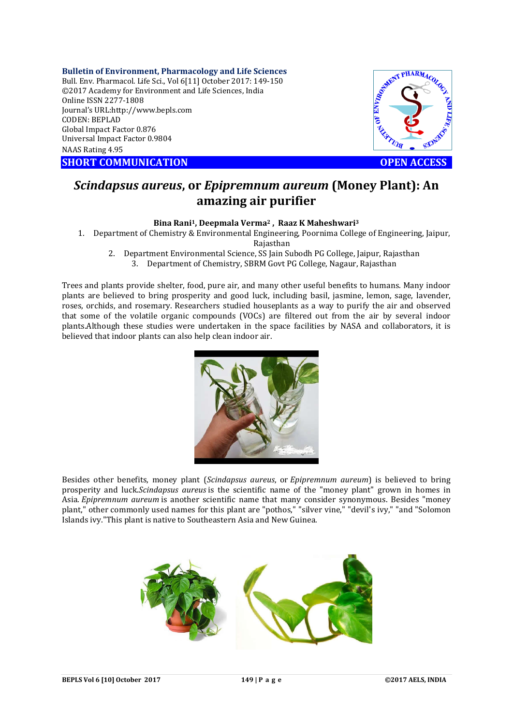**Bulletin of Environment, Pharmacology and Life Sciences** Bull. Env. Pharmacol. Life Sci., Vol 6[11] October 2017: 149-150 ©2017 Academy for Environment and Life Sciences, India Online ISSN 2277-1808 Journal's URL:http://www.bepls.com CODEN: BEPLAD Global Impact Factor 0.876 Universal Impact Factor 0.9804 NAAS Rating 4.95

**SHORT COMMUNICATION OPEN ACCESS** 



## *Scindapsus aureus***, or** *Epipremnum aureum* **(Money Plant): An amazing air purifier**

## **Bina Rani1, Deepmala Verma2 , Raaz K Maheshwari3**

1. Department of Chemistry & Environmental Engineering, Poornima College of Engineering, Jaipur, Rajasthan

2. Department Environmental Science, SS Jain Subodh PG College, Jaipur, Rajasthan

3. Department of Chemistry, SBRM Govt PG College, Nagaur, Rajasthan

Trees and plants provide shelter, food, pure air, and many other useful benefits to humans. Many indoor plants are believed to bring prosperity and good luck, including basil, jasmine, lemon, sage, lavender, roses, orchids, and rosemary. Researchers studied houseplants as a way to purify the air and observed that some of the volatile organic compounds (VOCs) are filtered out from the air by several indoor plants.Although these studies were undertaken in the space facilities by NASA and collaborators, it is believed that indoor plants can also help clean indoor air.



Besides other benefits, money plant (*Scindapsus aureus*, or *Epipremnum aureum*) is believed to bring prosperity and luck.*Scindapsus aureus* is the scientific name of the "money plant" grown in homes in Asia. *Epipremnum aureum* is another scientific name that many consider synonymous. Besides "money plant," other commonly used names for this plant are "pothos," "silver vine," "devil's ivy," "and "Solomon Islands ivy."This plant is native to Southeastern Asia and New Guinea.